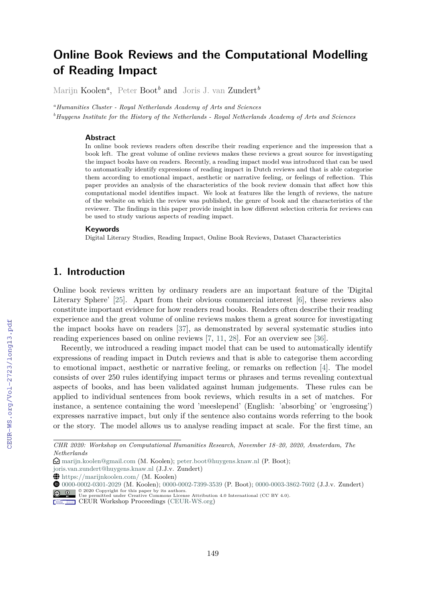# **Online Book Reviews and the Computational Modelling of Reading Impact**

Marijn Koolen*<sup>a</sup>* , Peter Boot*<sup>b</sup>* and Joris J. van Zundert*<sup>b</sup>*

*<sup>a</sup>Humanities Cluster - Royal Netherlands Academy of Arts and Sciences*

*<sup>b</sup>Huygens Institute for the History of the Netherlands - Royal Netherlands Academy of Arts and Sciences*

#### **Abstract**

In online book reviews readers often describe their reading experience and the impression that a book left. The great volume of online reviews makes these reviews a great source for investigating the impact books have on readers. Recently, a reading impact model was introduced that can be used to automatically identify expressions of reading impact in Dutch reviews and that is able categorise them according to emotional impact, aesthetic or narrative feeling, or feelings of reflection. This paper provides an analysis of the characteristics of the book review domain that affect how this computational model identifies impact. We look at features like the length of reviews, the nature of the website on which the review was published, the genre of book and the characteristics of the reviewer. The findings in this paper provide insight in how different selection criteria for reviews can be used to study various aspects of reading impact.

#### **Keywords**

Digital Literary Studies, Reading Impact, Online Book Reviews, Dataset Characteristics

# **1. Introduction**

Online book reviews written by ordinary readers are an important feature of the 'Digital Literary Sphere' [25]. Apart from their obvious commercial interest [6], these reviews also constitute important evidence for how readers read books. Readers often describe their reading experience and the great volume of online reviews makes them a great source for investigating the impact books have on readers [37], as demonstrated by several systematic studies into reading experiences based on online reviews [7, 11, 28]. For an overview see [36].

Recently, we introduced a reading impact model that can be used to automatically identify expressions of reading impact in Dutch reviews and that is able to categorise them according to emotional impact, aesthetic or narrative feeling, or remarks on reflection [4]. The model consists of over 250 rules identifying impact terms or phrases and terms revealing contextual aspects of books, and has been validated against human judgements. These rules can be applied to individual sentences from book reviews, which results in a set of matches. For instance, a sentence containing the word 'meeslepend' (English: 'absorbing' or 'engrossing') expresses narrative impact, but only if the sentence also contains words referring to the book or the story. The model allows us to analyse reading impact at scale. For the first time, an

*CHR 2020: Workshop on Computational Humanities Research, November 18–20, 2020, Amsterdam, The Netherlands*

<sup>£</sup> marijn.koolen@gmail.com (M. Koolen); peter.boot@huygens.knaw.nl (P. Boot);

joris.van.zundert@huygens.knaw.nl (J.J.v. Zundert)

Å https://marijnkoolen.com/ (M. Koolen)

DZ 0000-0002-0301-2029 (M. Koolen); 0000-0002-7399-3539 (P. Boot); 0000-0003-3862-7602 (J.J.v. Zundert)

<sup>© 2020</sup> Copyright for this paper by its authors. Use permitted under Creative Commons License Attribution 4.0 International (CC BY 4.0).

CEUR Workshop Proceedings (CEUR-WS.org)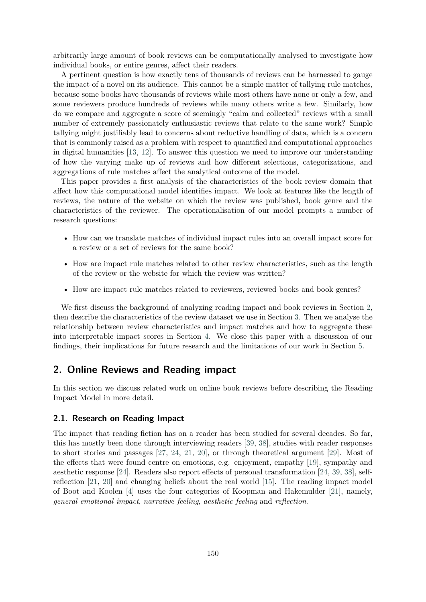arbitrarily large amount of book reviews can be computationally analysed to investigate how individual books, or entire genres, affect their readers.

A pertinent question is how exactly tens of thousands of reviews can be harnessed to gauge the impact of a novel on its audience. This cannot be a simple matter of tallying rule matches, because some books have thousands of reviews while most others have none or only a few, and some reviewers produce hundreds of reviews while many others write a few. Similarly, how do we compare and aggregate a score of seemingly "calm and collected" reviews with a small number of extremely passionately enthusiastic reviews that relate to the same work? Simple tallying might justifiably lead to concerns about reductive handling of data, which is a concern that is commonly raised as a problem with respect to quantified and computational approaches in digital humanities [13, 12]. To answer this question we need to improve our understanding of how the varying make up of reviews and how different selections, categorizations, and aggregations of rule matches affect the analytical outcome of the model.

This paper provides a first analysis of the characteristics of the book review domain that affect how this computational model identifies impact. We look at features like the length of reviews, the nature of the website on which the review was published, book genre and the characteristics of the reviewer. The operationalisation of our model prompts a number of research questions:

- How can we translate matches of individual impact rules into an overall impact score for a review or a set of reviews for the same book?
- How are impact rule matches related to other review characteristics, such as the length of the review or the website for which the review was written?
- How are impact rule matches related to reviewers, reviewed books and book genres?

We first discuss the background of analyzing reading impact and book reviews in Section 2, then describe the characteristics of the review dataset we use in Section 3. Then we analyse the relationship between review characteristics and impact matches and how to aggregate these into interpretable impact scores in Section 4. We close this paper with a discussion of our findings, their implications for future research and the limitations of our work in Section 5.

# **2. Online Reviews and Reading impact**

In this section we discuss related work on online book reviews before describing the Reading Impact Model in more detail.

## **2.1. Research on Reading Impact**

The impact that reading fiction has on a reader has been studied for several decades. So far, this has mostly been done through interviewing readers [39, 38], studies with reader responses to short stories and passages [27, 24, 21, 20], or through theoretical argument [29]. Most of the effects that were found centre on emotions, e.g. enjoyment, empathy [19], sympathy and aesthetic response [24]. Readers also report effects of personal transformation [24, 39, 38], selfreflection [21, 20] and changing beliefs about the real world [15]. The reading impact model of Boot and Koolen [4] uses the four categories of Koopman and Hakemulder [21], namely, *general emotional impact*, *narrative feeling*, *aesthetic feeling* and *reflection*.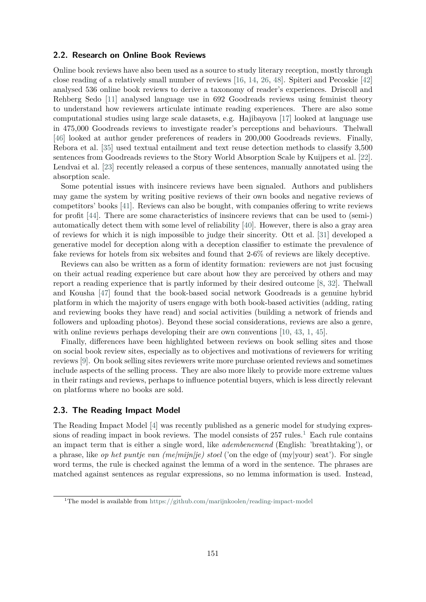#### **2.2. Research on Online Book Reviews**

Online book reviews have also been used as a source to study literary reception, mostly through close reading of a relatively small number of reviews [16, 14, 26, 48]. Spiteri and Pecoskie [42] analysed 536 online book reviews to derive a taxonomy of reader's experiences. Driscoll and Rehberg Sedo [11] analysed language use in 692 Goodreads reviews using feminist theory to understand how reviewers articulate intimate reading experiences. There are also some computational studies using large scale datasets, e.g. Hajibayova [17] looked at language use in 475,000 Goodreads reviews to investigate reader's perceptions and behaviours. Thelwall [46] looked at author gender preferences of readers in 200,000 Goodreads reviews. Finally, Rebora et al. [35] used textual entailment and text reuse detection methods to classify 3,500 sentences from Goodreads reviews to the Story World Absorption Scale by Kuijpers et al. [22]. Lendvai et al. [23] recently released a corpus of these sentences, manually annotated using the absorption scale.

Some potential issues with insincere reviews have been signaled. Authors and publishers may game the system by writing positive reviews of their own books and negative reviews of competitors' books [41]. Reviews can also be bought, with companies offering to write reviews for profit [44]. There are some characteristics of insincere reviews that can be used to (semi-) automatically detect them with some level of reliability [40]. However, there is also a gray area of reviews for which it is nigh impossible to judge their sincerity. Ott et al. [31] developed a generative model for deception along with a deception classifier to estimate the prevalence of fake reviews for hotels from six websites and found that 2-6% of reviews are likely deceptive.

Reviews can also be written as a form of identity formation: reviewers are not just focusing on their actual reading experience but care about how they are perceived by others and may report a reading experience that is partly informed by their desired outcome [8, 32]. Thelwall and Kousha [47] found that the book-based social network Goodreads is a genuine hybrid platform in which the majority of users engage with both book-based activities (adding, rating and reviewing books they have read) and social activities (building a network of friends and followers and uploading photos). Beyond these social considerations, reviews are also a genre, with online reviews perhaps developing their are own conventions [10, 43, 1, 45].

Finally, differences have been highlighted between reviews on book selling sites and those on social book review sites, especially as to objectives and motivations of reviewers for writing reviews [9]. On book selling sites reviewers write more purchase oriented reviews and sometimes include aspects of the selling process. They are also more likely to provide more extreme values in their ratings and reviews, perhaps to influence potential buyers, which is less directly relevant on platforms where no books are sold.

### **2.3. The Reading Impact Model**

The Reading Impact Model [4] was recently published as a generic model for studying expressions of reading impact in book reviews. The model consists of  $257$  rules.<sup>1</sup> Each rule contains an impact term that is either a single word, like *adembenemend* (English: 'breathtaking'), or a phrase, like *op het puntje van (me|mijn|je) stoel* ('on the edge of (my|your) seat'). For single word terms, the rule is checked against the lemma of a word in the sentence. The phrases are matched against sentences as regular expressions, so no lemma information is used. Instead,

<sup>1</sup>The model is available from https://github.com/marijnkoolen/reading-impact-model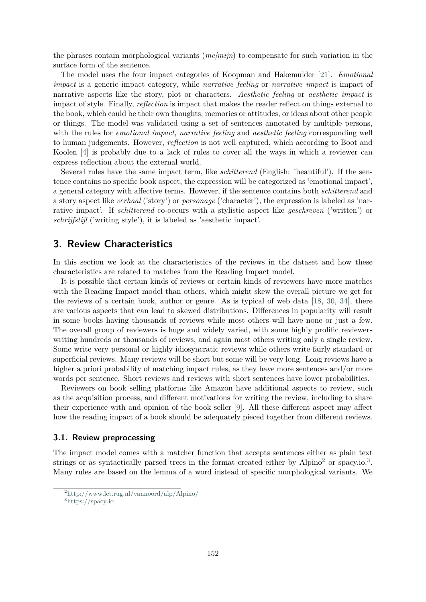the phrases contain morphological variants (*me|mijn*) to compensate for such variation in the surface form of the sentence.

The model uses the four impact categories of Koopman and Hakemulder [21]. *Emotional impact* is a generic impact category, while *narrative feeling* or *narrative impact* is impact of narrative aspects like the story, plot or characters. *Aesthetic feeling* or *aesthetic impact* is impact of style. Finally, *reflection* is impact that makes the reader reflect on things external to the book, which could be their own thoughts, memories or attitudes, or ideas about other people or things. The model was validated using a set of sentences annotated by multiple persons, with the rules for *emotional impact*, *narrative feeling* and *aesthetic feeling* corresponding well to human judgements. However, *reflection* is not well captured, which according to Boot and Koolen [4] is probably due to a lack of rules to cover all the ways in which a reviewer can express reflection about the external world.

Several rules have the same impact term, like *schitterend* (English: 'beautiful'). If the sentence contains no specific book aspect, the expression will be categorized as 'emotional impact', a general category with affective terms. However, if the sentence contains both *schitterend* and a story aspect like *verhaal* ('story') or *personage* ('character'), the expression is labeled as 'narrative impact'. If *schitterend* co-occurs with a stylistic aspect like *geschreven* ('written') or *schrijfstijl* ('writing style'), it is labeled as 'aesthetic impact'.

## **3. Review Characteristics**

In this section we look at the characteristics of the reviews in the dataset and how these characteristics are related to matches from the Reading Impact model.

It is possible that certain kinds of reviews or certain kinds of reviewers have more matches with the Reading Impact model than others, which might skew the overall picture we get for the reviews of a certain book, author or genre. As is typical of web data [18, 30, 34], there are various aspects that can lead to skewed distributions. Differences in popularity will result in some books having thousands of reviews while most others will have none or just a few. The overall group of reviewers is huge and widely varied, with some highly prolific reviewers writing hundreds or thousands of reviews, and again most others writing only a single review. Some write very personal or highly idiosyncratic reviews while others write fairly standard or superficial reviews. Many reviews will be short but some will be very long. Long reviews have a higher a priori probability of matching impact rules, as they have more sentences and/or more words per sentence. Short reviews and reviews with short sentences have lower probabilities.

Reviewers on book selling platforms like Amazon have additional aspects to review, such as the acquisition process, and different motivations for writing the review, including to share their experience with and opinion of the book seller [9]. All these different aspect may affect how the reading impact of a book should be adequately pieced together from different reviews.

### **3.1. Review preprocessing**

The impact model comes with a matcher function that accepts sentences either as plain text strings or as syntactically parsed trees in the format created either by Alpino<sup>2</sup> or spacy.io.<sup>3</sup>. Many rules are based on the lemma of a word instead of specific morphological variants. We

<sup>2</sup>http://www.let.rug.nl/vannoord/alp/Alpino/

<sup>3</sup>https://spacy.io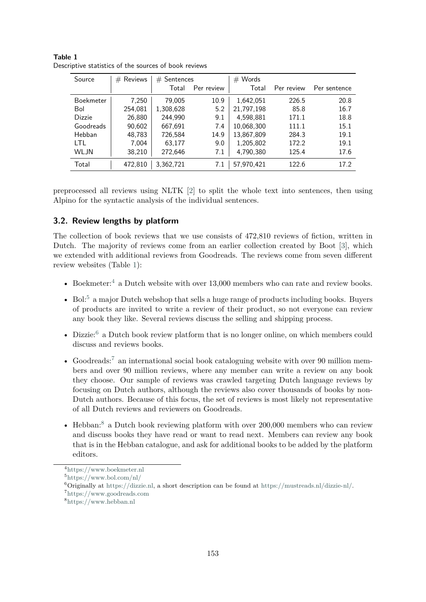| Source        | $#$ Reviews | $#$ Sentences |            | $#$ Words  |            |              |
|---------------|-------------|---------------|------------|------------|------------|--------------|
|               |             | Total         | Per review | Total      | Per review | Per sentence |
| Boekmeter     | 7,250       | 79,005        | 10.9       | 1,642,051  | 226.5      | 20.8         |
| Bol           | 254,081     | 1,308,628     | 5.2        | 21,797,198 | 85.8       | 16.7         |
| <b>Dizzie</b> | 26,880      | 244,990       | 9.1        | 4,598,881  | 171.1      | 18.8         |
| Goodreads     | 90,602      | 667,691       | 7.4        | 10,068,300 | 111.1      | 15.1         |
| Hebban        | 48,783      | 726,584       | 14.9       | 13,867,809 | 284.3      | 19.1         |
| I TI          | 7.004       | 63,177        | 9.0        | 1,205,802  | 172.2      | 19.1         |
| WLJN          | 38,210      | 272,646       | 7.1        | 4,790,380  | 125.4      | 17.6         |
| Total         | 472,810     | 3,362,721     | 7.1        | 57,970,421 | 122.6      | 17.2         |

| Table 1                                               |  |  |  |  |
|-------------------------------------------------------|--|--|--|--|
| Descriptive statistics of the sources of book reviews |  |  |  |  |

preprocessed all reviews using NLTK [2] to split the whole text into sentences, then using Alpino for the syntactic analysis of the individual sentences.

## **3.2. Review lengths by platform**

The collection of book reviews that we use consists of 472,810 reviews of fiction, written in Dutch. The majority of reviews come from an earlier collection created by Boot [3], which we extended with additional reviews from Goodreads. The reviews come from seven different review websites (Table 1):

- Boekmeter:<sup>4</sup> a Dutch website with over 13,000 members who can rate and review books.
- Bol:<sup>5</sup> a major Dutch webshop that sells a huge range of products including books. Buyers of products are invited to write a review of their product, so not everyone can review any book they like. Several reviews discuss the selling and shipping process.
- Dizzie:<sup>6</sup> a Dutch book review platform that is no longer online, on which members could discuss and reviews books.
- Goodreads:<sup>7</sup> an international social book cataloguing website with over 90 million members and over 90 million reviews, where any member can write a review on any book they choose. Our sample of reviews was crawled targeting Dutch language reviews by focusing on Dutch authors, although the reviews also cover thousands of books by non-Dutch authors. Because of this focus, the set of reviews is most likely not representative of all Dutch reviews and reviewers on Goodreads.
- Hebban:<sup>8</sup> a Dutch book reviewing platform with over 200,000 members who can review and discuss books they have read or want to read next. Members can review any book that is in the Hebban catalogue, and ask for additional books to be added by the platform editors.

<sup>4</sup>https://www.boekmeter.nl

<sup>5</sup>https://www.bol.com/nl/

 $6$ Originally at https://dizzie.nl, a short description can be found at https://mustreads.nl/dizzie-nl/.

<sup>7</sup>https://www.goodreads.com

<sup>8</sup>https://www.hebban.nl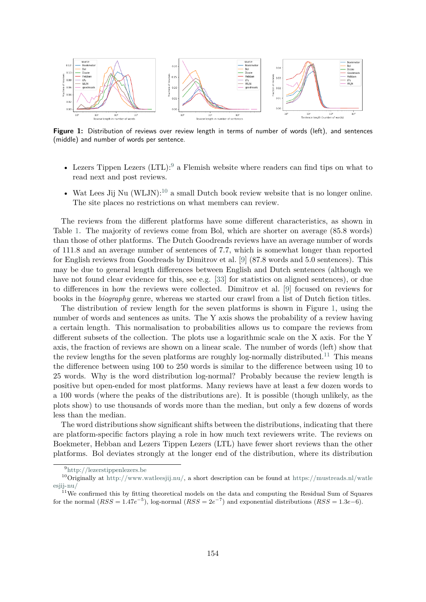

Figure 1: Distribution of reviews over review length in terms of number of words (left), and sentences (middle) and number of words per sentence.

- Lezers Tippen Lezers  $(LTL):<sup>9</sup>$  a Flemish website where readers can find tips on what to read next and post reviews.
- Wat Lees Jij Nu  $(WLJN)$ :<sup>10</sup> a small Dutch book review website that is no longer online. The site places no restrictions on what members can review.

The reviews from the different platforms have some different characteristics, as shown in Table 1. The majority of reviews come from Bol, which are shorter on average (85.8 words) than those of other platforms. The Dutch Goodreads reviews have an average number of words of 111.8 and an average number of sentences of 7.7, which is somewhat longer than reported for English reviews from Goodreads by Dimitrov et al. [9] (87.8 words and 5.0 sentences). This may be due to general length differences between English and Dutch sentences (although we have not found clear evidence for this, see e.g. [33] for statistics on aligned sentences), or due to differences in how the reviews were collected. Dimitrov et al. [9] focused on reviews for books in the *biography* genre, whereas we started our crawl from a list of Dutch fiction titles.

The distribution of review length for the seven platforms is shown in Figure 1, using the number of words and sentences as units. The Y axis shows the probability of a review having a certain length. This normalisation to probabilities allows us to compare the reviews from different subsets of the collection. The plots use a logarithmic scale on the X axis. For the Y axis, the fraction of reviews are shown on a linear scale. The number of words (left) show that the review lengths for the seven platforms are roughly log-normally distributed.<sup>11</sup> This means the difference between using 100 to 250 words is similar to the difference between using 10 to 25 words. Why is the word distribution log-normal? Probably because the review length is positive but open-ended for most platforms. Many reviews have at least a few dozen words to a 100 words (where the peaks of the distributions are). It is possible (though unlikely, as the plots show) to use thousands of words more than the median, but only a few dozens of words less than the median.

The word distributions show significant shifts between the distributions, indicating that there are platform-specific factors playing a role in how much text reviewers write. The reviews on Boekmeter, Hebban and Lezers Tippen Lezers (LTL) have fewer short reviews than the other platforms. Bol deviates strongly at the longer end of the distribution, where its distribution

<sup>9</sup>http://lezerstippenlezers.be

<sup>&</sup>lt;sup>10</sup>Originally at http://www.watleesjij.nu/, a short description can be found at https://mustreads.nl/watle esjij-nu/

 $11$ We confirmed this by fitting theoretical models on the data and computing the Residual Sum of Squares for the normal  $(RSS = 1.47e^{-5})$ , log-normal  $(RSS = 2e^{-7})$  and exponential distributions  $(RSS = 1.3e-6)$ .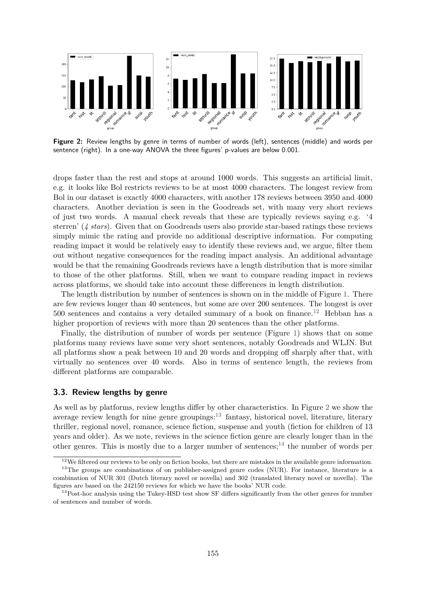

**Figure 2:** Review lengths by genre in terms of number of words (left), sentences (middle) and words per sentence (right). In a one-way ANOVA the three figures' p-values are below 0.001.

drops faster than the rest and stops at around 1000 words. This suggests an artificial limit, e.g. it looks like Bol restricts reviews to be at most 4000 characters. The longest review from Bol in our dataset is exactly 4000 characters, with another 178 reviews between 3950 and 4000 characters. Another deviation is seen in the Goodreads set, with many very short reviews of just two words. A manual check reveals that these are typically reviews saying e.g. '4 sterren' (*4 stars*). Given that on Goodreads users also provide star-based ratings these reviews simply mimic the rating and provide no additional descriptive information. For computing reading impact it would be relatively easy to identify these reviews and, we argue, filter them out without negative consequences for the reading impact analysis. An additional advantage would be that the remaining Goodreads reviews have a length distribution that is more similar to those of the other platforms. Still, when we want to compare reading impact in reviews across platforms, we should take into account these differences in length distribution.

The length distribution by number of sentences is shown on in the middle of Figure 1. There are few reviews longer than 40 sentences, but some are over 200 sentences. The longest is over  $500$  sentences and contains a very detailed summary of a book on finance.<sup>12</sup> Hebban has a higher proportion of reviews with more than 20 sentences than the other platforms.

Finally, the distribution of number of words per sentence (Figure 1) shows that on some platforms many reviews have some very short sentences, notably Goodreads and WLJN. But all platforms show a peak between 10 and 20 words and dropping off sharply after that, with virtually no sentences over 40 words. Also in terms of sentence length, the reviews from different platforms are comparable.

#### **3.3. Review lengths by genre**

As well as by platforms, review lengths differ by other characteristics. In Figure 2 we show the average review length for nine genre groupings: $^{13}$  fantasy, historical novel, literature, literary thriller, regional novel, romance, science fiction, suspense and youth (fiction for children of 13 years and older). As we note, reviews in the science fiction genre are clearly longer than in the other genres. This is mostly due to a larger number of sentences;<sup>14</sup> the number of words per

 $12$ We filtered our reviews to be only on fiction books, but there are mistakes in the available genre information.

<sup>&</sup>lt;sup>13</sup>The groups are combinations of on publisher-assigned genre codes (NUR). For instance, literature is a combination of NUR 301 (Dutch literary novel or novella) and 302 (translated literary novel or novella). The figures are based on the 242150 reviews for which we have the books' NUR code.

<sup>&</sup>lt;sup>14</sup>Post-hoc analysis using the Tukey-HSD test show SF differs significantly from the other genres for number of sentences and number of words.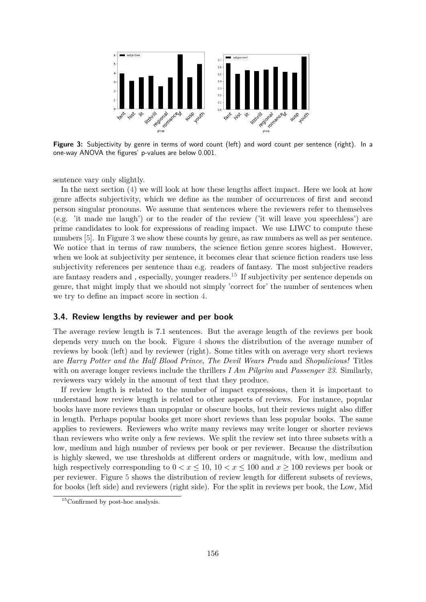

**Figure 3:** Subjectivity by genre in terms of word count (left) and word count per sentence (right). In a one-way ANOVA the figures' p-values are below 0.001.

sentence vary only slightly.

In the next section (4) we will look at how these lengths affect impact. Here we look at how genre affects subjectivity, which we define as the number of occurrences of first and second person singular pronouns. We assume that sentences where the reviewers refer to themselves (e.g. 'it made me laugh') or to the reader of the review ('it will leave you speechless') are prime candidates to look for expressions of reading impact. We use LIWC to compute these numbers [5]. In Figure 3 we show these counts by genre, as raw numbers as well as per sentence. We notice that in terms of raw numbers, the science fiction genre scores highest. However, when we look at subjectivity per sentence, it becomes clear that science fiction readers use less subjectivity references per sentence than e.g. readers of fantasy. The most subjective readers are fantasy readers and , especially, younger readers.<sup>15</sup> If subjectivity per sentence depends on genre, that might imply that we should not simply 'correct for' the number of sentences when we try to define an impact score in section 4.

### **3.4. Review lengths by reviewer and per book**

The average review length is 7.1 sentences. But the average length of the reviews per book depends very much on the book. Figure 4 shows the distribution of the average number of reviews by book (left) and by reviewer (right). Some titles with on average very short reviews are *Harry Potter and the Half Blood Prince*, *The Devil Wears Prada* and *Shopalicious!* Titles with on average longer reviews include the thrillers *I Am Pilgrim* and *Passenger 23*. Similarly, reviewers vary widely in the amount of text that they produce.

If review length is related to the number of impact expressions, then it is important to understand how review length is related to other aspects of reviews. For instance, popular books have more reviews than unpopular or obscure books, but their reviews might also differ in length. Perhaps popular books get more short reviews than less popular books. The same applies to reviewers. Reviewers who write many reviews may write longer or shorter reviews than reviewers who write only a few reviews. We split the review set into three subsets with a low, medium and high number of reviews per book or per reviewer. Because the distribution is highly skewed, we use thresholds at different orders or magnitude, with low, medium and high respectively corresponding to  $0 < x \le 10$ ,  $10 < x \le 100$  and  $x \ge 100$  reviews per book or per reviewer. Figure 5 shows the distribution of review length for different subsets of reviews, for books (left side) and reviewers (right side). For the split in reviews per book, the Low, Mid

<sup>&</sup>lt;sup>15</sup>Confirmed by post-hoc analysis.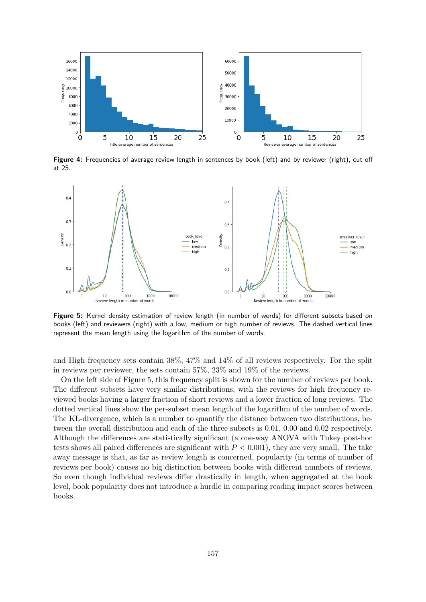

**Figure 4:** Frequencies of average review length in sentences by book (left) and by reviewer (right), cut off at 25.



Figure 5: Kernel density estimation of review length (in number of words) for different subsets based on books (left) and reviewers (right) with a low, medium or high number of reviews. The dashed vertical lines represent the mean length using the logarithm of the number of words.

and High frequency sets contain 38%, 47% and 14% of all reviews respectively. For the split in reviews per reviewer, the sets contain 57%, 23% and 19% of the reviews.

On the left side of Figure 5, this frequency split is shown for the number of reviews per book. The different subsets have very similar distributions, with the reviews for high frequency reviewed books having a larger fraction of short reviews and a lower fraction of long reviews. The dotted vertical lines show the per-subset mean length of the logarithm of the number of words. The KL-divergence, which is a number to quantify the distance between two distributions, between the overall distribution and each of the three subsets is 0.01, 0.00 and 0.02 respectively. Although the differences are statistically significant (a one-way ANOVA with Tukey post-hoc tests shows all paired differences are significant with *P <* 0*.*001), they are very small. The take away message is that, as far as review length is concerned, popularity (in terms of number of reviews per book) causes no big distinction between books with different numbers of reviews. So even though individual reviews differ drastically in length, when aggregated at the book level, book popularity does not introduce a hurdle in comparing reading impact scores between books.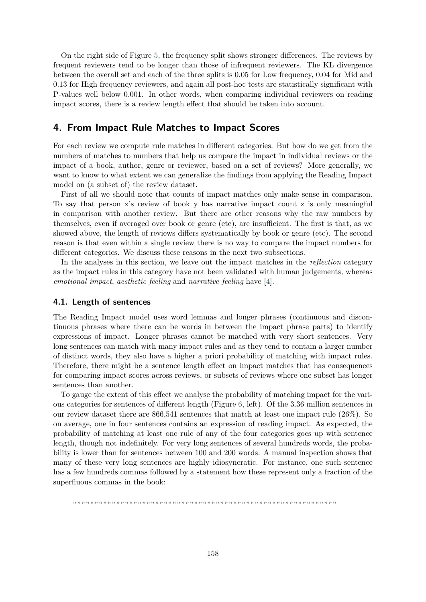On the right side of Figure 5, the frequency split shows stronger differences. The reviews by frequent reviewers tend to be longer than those of infrequent reviewers. The KL divergence between the overall set and each of the three splits is 0.05 for Low frequency, 0.04 for Mid and 0.13 for High frequency reviewers, and again all post-hoc tests are statistically significant with P-values well below 0*.*001. In other words, when comparing individual reviewers on reading impact scores, there is a review length effect that should be taken into account.

## **4. From Impact Rule Matches to Impact Scores**

For each review we compute rule matches in different categories. But how do we get from the numbers of matches to numbers that help us compare the impact in individual reviews or the impact of a book, author, genre or reviewer, based on a set of reviews? More generally, we want to know to what extent we can generalize the findings from applying the Reading Impact model on (a subset of) the review dataset.

First of all we should note that counts of impact matches only make sense in comparison. To say that person x's review of book y has narrative impact count z is only meaningful in comparison with another review. But there are other reasons why the raw numbers by themselves, even if averaged over book or genre (etc), are insufficient. The first is that, as we showed above, the length of reviews differs systematically by book or genre (etc). The second reason is that even within a single review there is no way to compare the impact numbers for different categories. We discuss these reasons in the next two subsections.

In the analyses in this section, we leave out the impact matches in the *reflection* category as the impact rules in this category have not been validated with human judgements, whereas *emotional impact*, *aesthetic feeling* and *narrative feeling* have [4].

#### **4.1. Length of sentences**

The Reading Impact model uses word lemmas and longer phrases (continuous and discontinuous phrases where there can be words in between the impact phrase parts) to identify expressions of impact. Longer phrases cannot be matched with very short sentences. Very long sentences can match with many impact rules and as they tend to contain a larger number of distinct words, they also have a higher a priori probability of matching with impact rules. Therefore, there might be a sentence length effect on impact matches that has consequences for comparing impact scores across reviews, or subsets of reviews where one subset has longer sentences than another.

To gauge the extent of this effect we analyse the probability of matching impact for the various categories for sentences of different length (Figure 6, left). Of the 3.36 million sentences in our review dataset there are 866,541 sentences that match at least one impact rule (26%). So on average, one in four sentences contains an expression of reading impact. As expected, the probability of matching at least one rule of any of the four categories goes up with sentence length, though not indefinitely. For very long sentences of several hundreds words, the probability is lower than for sentences between 100 and 200 words. A manual inspection shows that many of these very long sentences are highly idiosyncratic. For instance, one such sentence has a few hundreds commas followed by a statement how these represent only a fraction of the superfluous commas in the book:

יכול לכול להוביל להוביל להוביל להוביל להוביל להוביל להוביל להוביל להוביל להוביל להוביל להוביל להוביל להוביל להוביל להוביל להוביל להוביל להוביל להוביל להוביל להוביל להוביל להוביל להוביל ה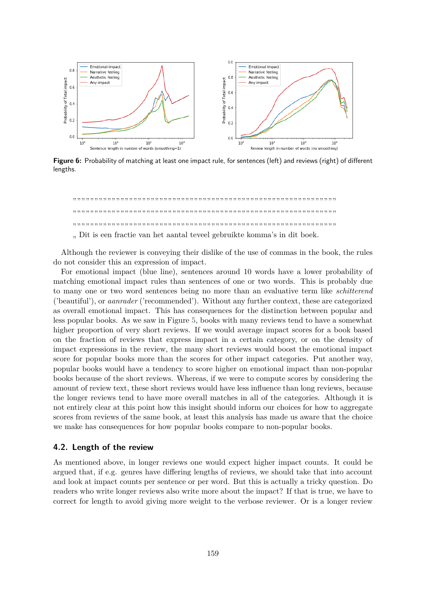

**Figure 6:** Probability of matching at least one impact rule, for sentences (left) and reviews (right) of different lengths.



Although the reviewer is conveying their dislike of the use of commas in the book, the rules do not consider this an expression of impact.

For emotional impact (blue line), sentences around 10 words have a lower probability of matching emotional impact rules than sentences of one or two words. This is probably due to many one or two word sentences being no more than an evaluative term like *schitterend* ('beautiful'), or *aanrader* ('recommended'). Without any further context, these are categorized as overall emotional impact. This has consequences for the distinction between popular and less popular books. As we saw in Figure 5, books with many reviews tend to have a somewhat higher proportion of very short reviews. If we would average impact scores for a book based on the fraction of reviews that express impact in a certain category, or on the density of impact expressions in the review, the many short reviews would boost the emotional impact score for popular books more than the scores for other impact categories. Put another way, popular books would have a tendency to score higher on emotional impact than non-popular books because of the short reviews. Whereas, if we were to compute scores by considering the amount of review text, these short reviews would have less influence than long reviews, because the longer reviews tend to have more overall matches in all of the categories. Although it is not entirely clear at this point how this insight should inform our choices for how to aggregate scores from reviews of the same book, at least this analysis has made us aware that the choice we make has consequences for how popular books compare to non-popular books.

#### **4.2. Length of the review**

As mentioned above, in longer reviews one would expect higher impact counts. It could be argued that, if e.g. genres have differing lengths of reviews, we should take that into account and look at impact counts per sentence or per word. But this is actually a tricky question. Do readers who write longer reviews also write more about the impact? If that is true, we have to correct for length to avoid giving more weight to the verbose reviewer. Or is a longer review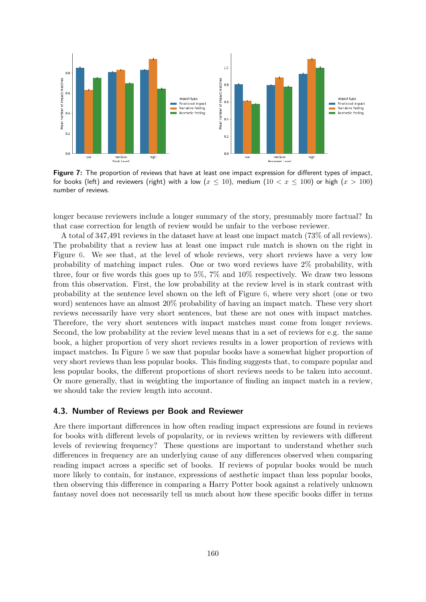

Figure 7: The proportion of reviews that have at least one impact expression for different types of impact, for books (left) and reviewers (right) with a low  $(x \le 10)$ , medium  $(10 < x \le 100)$  or high  $(x > 100)$ number of reviews.

longer because reviewers include a longer summary of the story, presumably more factual? In that case correction for length of review would be unfair to the verbose reviewer.

A total of 347,491 reviews in the dataset have at least one impact match (73% of all reviews). The probability that a review has at least one impact rule match is shown on the right in Figure 6. We see that, at the level of whole reviews, very short reviews have a very low probability of matching impact rules. One or two word reviews have 2% probability, with three, four or five words this goes up to 5%, 7% and 10% respectively. We draw two lessons from this observation. First, the low probability at the review level is in stark contrast with probability at the sentence level shown on the left of Figure 6, where very short (one or two word) sentences have an almost 20% probability of having an impact match. These very short reviews necessarily have very short sentences, but these are not ones with impact matches. Therefore, the very short sentences with impact matches must come from longer reviews. Second, the low probability at the review level means that in a set of reviews for e.g. the same book, a higher proportion of very short reviews results in a lower proportion of reviews with impact matches. In Figure 5 we saw that popular books have a somewhat higher proportion of very short reviews than less popular books. This finding suggests that, to compare popular and less popular books, the different proportions of short reviews needs to be taken into account. Or more generally, that in weighting the importance of finding an impact match in a review, we should take the review length into account.

### **4.3. Number of Reviews per Book and Reviewer**

Are there important differences in how often reading impact expressions are found in reviews for books with different levels of popularity, or in reviews written by reviewers with different levels of reviewing frequency? These questions are important to understand whether such differences in frequency are an underlying cause of any differences observed when comparing reading impact across a specific set of books. If reviews of popular books would be much more likely to contain, for instance, expressions of aesthetic impact than less popular books, then observing this difference in comparing a Harry Potter book against a relatively unknown fantasy novel does not necessarily tell us much about how these specific books differ in terms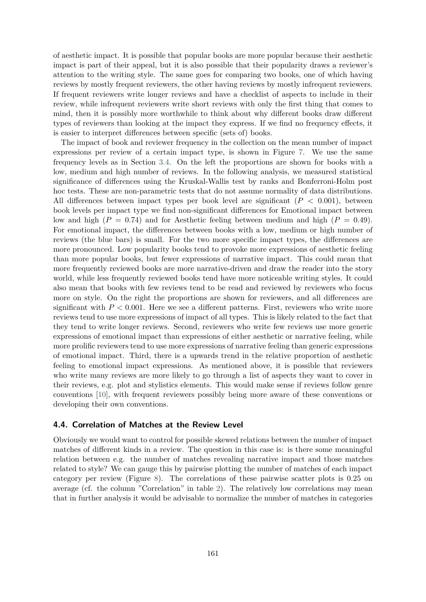of aesthetic impact. It is possible that popular books are more popular because their aesthetic impact is part of their appeal, but it is also possible that their popularity draws a reviewer's attention to the writing style. The same goes for comparing two books, one of which having reviews by mostly frequent reviewers, the other having reviews by mostly infrequent reviewers. If frequent reviewers write longer reviews and have a checklist of aspects to include in their review, while infrequent reviewers write short reviews with only the first thing that comes to mind, then it is possibly more worthwhile to think about why different books draw different types of reviewers than looking at the impact they express. If we find no frequency effects, it is easier to interpret differences between specific (sets of) books.

The impact of book and reviewer frequency in the collection on the mean number of impact expressions per review of a certain impact type, is shown in Figure 7. We use the same frequency levels as in Section 3.4. On the left the proportions are shown for books with a low, medium and high number of reviews. In the following analysis, we measured statistical significance of differences using the Kruskal-Wallis test by ranks and Bonferroni-Holm post hoc tests. These are non-parametric tests that do not assume normality of data distributions. All differences between impact types per book level are significant (*P <* 0*.*001), between book levels per impact type we find non-significant differences for Emotional impact between low and high  $(P = 0.74)$  and for Aesthetic feeling between medium and high  $(P = 0.49)$ . For emotional impact, the differences between books with a low, medium or high number of reviews (the blue bars) is small. For the two more specific impact types, the differences are more pronounced. Low popularity books tend to provoke more expressions of aesthetic feeling than more popular books, but fewer expressions of narrative impact. This could mean that more frequently reviewed books are more narrative-driven and draw the reader into the story world, while less frequently reviewed books tend have more noticeable writing styles. It could also mean that books with few reviews tend to be read and reviewed by reviewers who focus more on style. On the right the proportions are shown for reviewers, and all differences are significant with  $P < 0.001$ . Here we see a different patterns. First, reviewers who write more reviews tend to use more expressions of impact of all types. This is likely related to the fact that they tend to write longer reviews. Second, reviewers who write few reviews use more generic expressions of emotional impact than expressions of either aesthetic or narrative feeling, while more prolific reviewers tend to use more expressions of narrative feeling than generic expressions of emotional impact. Third, there is a upwards trend in the relative proportion of aesthetic feeling to emotional impact expressions. As mentioned above, it is possible that reviewers who write many reviews are more likely to go through a list of aspects they want to cover in their reviews, e.g. plot and stylistics elements. This would make sense if reviews follow genre conventions [10], with frequent reviewers possibly being more aware of these conventions or developing their own conventions.

#### **4.4. Correlation of Matches at the Review Level**

Obviously we would want to control for possible skewed relations between the number of impact matches of different kinds in a review. The question in this case is: is there some meaningful relation between e.g. the number of matches revealing narrative impact and those matches related to style? We can gauge this by pairwise plotting the number of matches of each impact category per review (Figure 8). The correlations of these pairwise scatter plots is 0.25 on average (cf. the column "Correlation" in table 2). The relatively low correlations may mean that in further analysis it would be advisable to normalize the number of matches in categories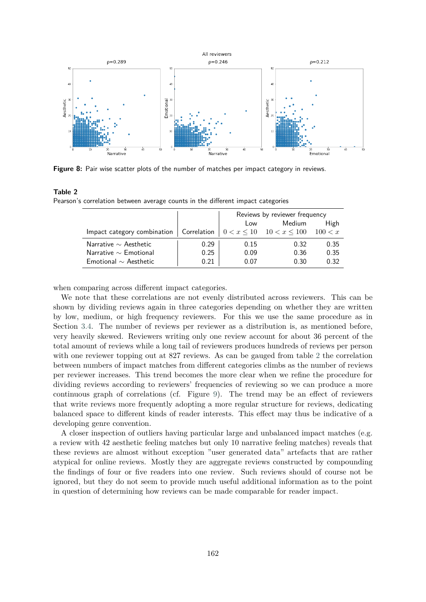

**Figure 8:** Pair wise scatter plots of the number of matches per impact category in reviews.

#### **Table 2**

Pearson's correlation between average counts in the different impact categories

|                                                                                           |      | Reviews by reviewer frequency |        |      |
|-------------------------------------------------------------------------------------------|------|-------------------------------|--------|------|
|                                                                                           |      | Low                           | Medium | High |
| Impact category combination   Correlation   $0 < x \le 10$   $10 < x \le 100$   $100 < x$ |      |                               |        |      |
| Narrative $\sim$ Aesthetic                                                                | 0.29 | 0.15                          | 0.32   | 0.35 |
| Narrative $\sim$ Emotional                                                                | 0.25 | 0.09                          | 0.36   | 0.35 |
| Emotional $\sim$ Aesthetic                                                                | 0.21 | 0.07                          | 0.30   | 0.32 |

when comparing across different impact categories.

We note that these correlations are not evenly distributed across reviewers. This can be shown by dividing reviews again in three categories depending on whether they are written by low, medium, or high frequency reviewers. For this we use the same procedure as in Section 3.4. The number of reviews per reviewer as a distribution is, as mentioned before, very heavily skewed. Reviewers writing only one review account for about 36 percent of the total amount of reviews while a long tail of reviewers produces hundreds of reviews per person with one reviewer topping out at 827 reviews. As can be gauged from table 2 the correlation between numbers of impact matches from different categories climbs as the number of reviews per reviewer increases. This trend becomes the more clear when we refine the procedure for dividing reviews according to reviewers' frequencies of reviewing so we can produce a more continuous graph of correlations (cf. Figure 9). The trend may be an effect of reviewers that write reviews more frequently adopting a more regular structure for reviews, dedicating balanced space to different kinds of reader interests. This effect may thus be indicative of a developing genre convention.

A closer inspection of outliers having particular large and unbalanced impact matches (e.g. a review with 42 aesthetic feeling matches but only 10 narrative feeling matches) reveals that these reviews are almost without exception "user generated data" artefacts that are rather atypical for online reviews. Mostly they are aggregate reviews constructed by compounding the findings of four or five readers into one review. Such reviews should of course not be ignored, but they do not seem to provide much useful additional information as to the point in question of determining how reviews can be made comparable for reader impact.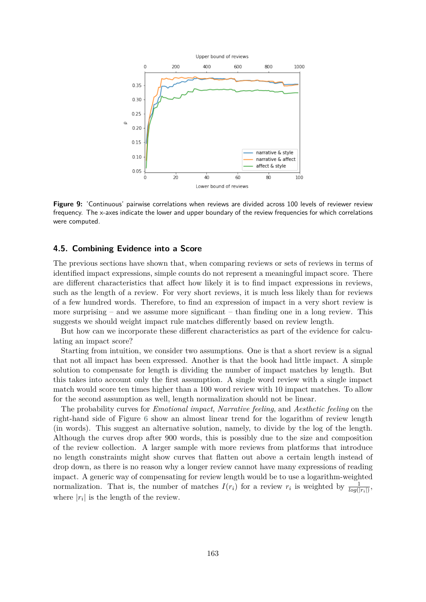

**Figure 9:** 'Continuous' pairwise correlations when reviews are divided across 100 levels of reviewer review frequency. The x-axes indicate the lower and upper boundary of the review frequencies for which correlations were computed.

## **4.5. Combining Evidence into a Score**

The previous sections have shown that, when comparing reviews or sets of reviews in terms of identified impact expressions, simple counts do not represent a meaningful impact score. There are different characteristics that affect how likely it is to find impact expressions in reviews, such as the length of a review. For very short reviews, it is much less likely than for reviews of a few hundred words. Therefore, to find an expression of impact in a very short review is more surprising – and we assume more significant – than finding one in a long review. This suggests we should weight impact rule matches differently based on review length.

But how can we incorporate these different characteristics as part of the evidence for calculating an impact score?

Starting from intuition, we consider two assumptions. One is that a short review is a signal that not all impact has been expressed. Another is that the book had little impact. A simple solution to compensate for length is dividing the number of impact matches by length. But this takes into account only the first assumption. A single word review with a single impact match would score ten times higher than a 100 word review with 10 impact matches. To allow for the second assumption as well, length normalization should not be linear.

The probability curves for *Emotional impact*, *Narrative feeling*, and *Aesthetic feeling* on the right-hand side of Figure 6 show an almost linear trend for the logarithm of review length (in words). This suggest an alternative solution, namely, to divide by the log of the length. Although the curves drop after 900 words, this is possibly due to the size and composition of the review collection. A larger sample with more reviews from platforms that introduce no length constraints might show curves that flatten out above a certain length instead of drop down, as there is no reason why a longer review cannot have many expressions of reading impact. A generic way of compensating for review length would be to use a logarithm-weighted normalization. That is, the number of matches  $I(r_i)$  for a review  $r_i$  is weighted by  $\frac{1}{log(|r_i|)}$ , where  $|r_i|$  is the length of the review.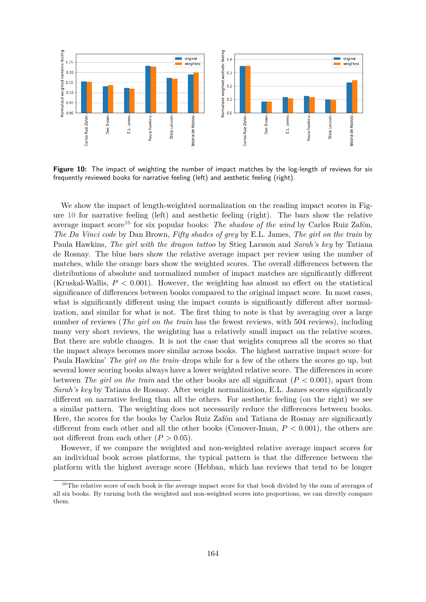

**Figure 10:** The impact of weighting the number of impact matches by the log-length of reviews for six frequently reviewed books for narrative feeling (left) and aesthetic feeling (right).

We show the impact of length-weighted normalization on the reading impact scores in Figure 10 for narrative feeling (left) and aesthetic feeling (right). The bars show the relative average impact score<sup>16</sup> for six popular books: *The shadow of the wind* by Carlos Ruiz Zafón, *The Da Vinci code* by Dan Brown, *Fifty shades of grey* by E.L. James, *The girl on the train* by Paula Hawkins, *The girl with the dragon tattoo* by Stieg Larsson and *Sarah's key* by Tatiana de Rosnay. The blue bars show the relative average impact per review using the number of matches, while the orange bars show the weighted scores. The overall differences between the distributions of absolute and normalized number of impact matches are significantly different (Kruskal-Wallis, *P <* 0*.*001). However, the weighting has almost no effect on the statistical significance of differences between books compared to the original impact score. In most cases, what is significantly different using the impact counts is significantly different after normalization, and similar for what is not. The first thing to note is that by averaging over a large number of reviews (*The girl on the train* has the fewest reviews, with 504 reviews), including many very short reviews, the weighting has a relatively small impact on the relative scores. But there are subtle changes. It is not the case that weights compress all the scores so that the impact always becomes more similar across books. The highest narrative impact score–for Paula Hawkins' *The girl on the train*–drops while for a few of the others the scores go up, but several lower scoring books always have a lower weighted relative score. The differences in score between *The girl on the train* and the other books are all significant  $(P < 0.001)$ , apart from *Sarah's key* by Tatiana de Rosnay. After weight normalization, E.L. James scores significantly different on narrative feeling than all the others. For aesthetic feeling (on the right) we see a similar pattern. The weighting does not necessarily reduce the differences between books. Here, the scores for the books by Carlos Ruiz Zafón and Tatiana de Rosnay are significantly different from each other and all the other books (Conover-Iman, *P <* 0*.*001), the others are not different from each other  $(P > 0.05)$ .

However, if we compare the weighted and non-weighted relative average impact scores for an individual book across platforms, the typical pattern is that the difference between the platform with the highest average score (Hebban, which has reviews that tend to be longer

<sup>&</sup>lt;sup>16</sup>The relative score of each book is the average impact score for that book divided by the sum of averages of all six books. By turning both the weighted and non-weighted scores into proportions, we can directly compare them.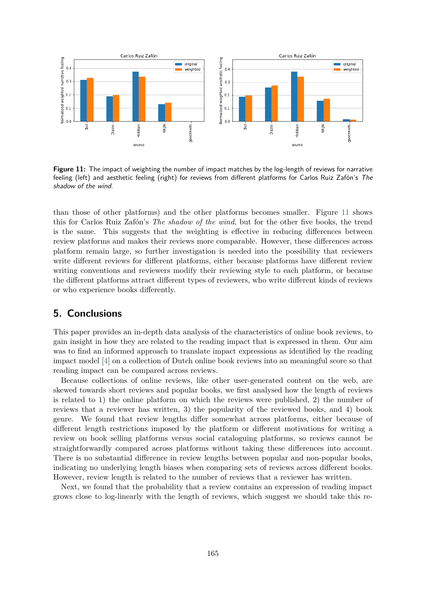

**Figure 11:** The impact of weighting the number of impact matches by the log-length of reviews for narrative feeling (left) and aesthetic feeling (right) for reviews from different platforms for Carlos Ruiz Zafón's *The shadow of the wind*.

than those of other platforms) and the other platforms becomes smaller. Figure 11 shows this for Carlos Ruiz Zafón's *The shadow of the wind*, but for the other five books, the trend is the same. This suggests that the weighting is effective in reducing differences between review platforms and makes their reviews more comparable. However, these differences across platform remain large, so further investigation is needed into the possibility that reviewers write different reviews for different platforms, either because platforms have different review writing conventions and reviewers modify their reviewing style to each platform, or because the different platforms attract different types of reviewers, who write different kinds of reviews or who experience books differently.

# **5. Conclusions**

This paper provides an in-depth data analysis of the characteristics of online book reviews, to gain insight in how they are related to the reading impact that is expressed in them. Our aim was to find an informed approach to translate impact expressions as identified by the reading impact model [4] on a collection of Dutch online book reviews into an meaningful score so that reading impact can be compared across reviews.

Because collections of online reviews, like other user-generated content on the web, are skewed towards short reviews and popular books, we first analysed how the length of reviews is related to 1) the online platform on which the reviews were published, 2) the number of reviews that a reviewer has written, 3) the popularity of the reviewed books, and 4) book genre. We found that review lengths differ somewhat across platforms, either because of different length restrictions imposed by the platform or different motivations for writing a review on book selling platforms versus social cataloguing platforms, so reviews cannot be straightforwardly compared across platforms without taking these differences into account. There is no substantial difference in review lengths between popular and non-popular books, indicating no underlying length biases when comparing sets of reviews across different books. However, review length is related to the number of reviews that a reviewer has written.

Next, we found that the probability that a review contains an expression of reading impact grows close to log-linearly with the length of reviews, which suggest we should take this re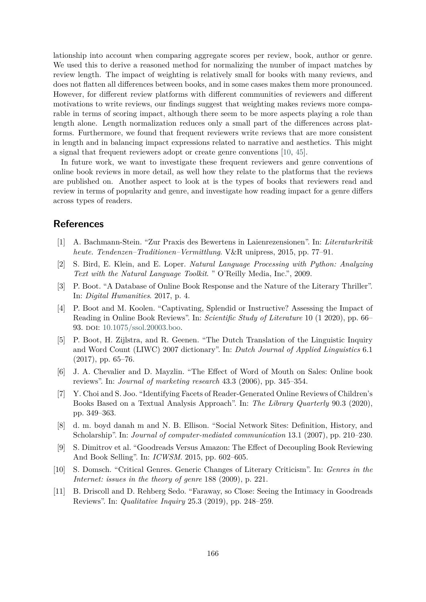lationship into account when comparing aggregate scores per review, book, author or genre. We used this to derive a reasoned method for normalizing the number of impact matches by review length. The impact of weighting is relatively small for books with many reviews, and does not flatten all differences between books, and in some cases makes them more pronounced. However, for different review platforms with different communities of reviewers and different motivations to write reviews, our findings suggest that weighting makes reviews more comparable in terms of scoring impact, although there seem to be more aspects playing a role than length alone. Length normalization reduces only a small part of the differences across platforms. Furthermore, we found that frequent reviewers write reviews that are more consistent in length and in balancing impact expressions related to narrative and aesthetics. This might a signal that frequent reviewers adopt or create genre conventions [10, 45].

In future work, we want to investigate these frequent reviewers and genre conventions of online book reviews in more detail, as well how they relate to the platforms that the reviews are published on. Another aspect to look at is the types of books that reviewers read and review in terms of popularity and genre, and investigate how reading impact for a genre differs across types of readers.

# **References**

- [1] A. Bachmann-Stein. "Zur Praxis des Bewertens in Laienrezensionen". In: *Literaturkritik heute. Tendenzen–Traditionen–Vermittlung*. V&R unipress, 2015, pp. 77–91.
- [2] S. Bird, E. Klein, and E. Loper. *Natural Language Processing with Python: Analyzing Text with the Natural Language Toolkit*. " O'Reilly Media, Inc.", 2009.
- [3] P. Boot. "A Database of Online Book Response and the Nature of the Literary Thriller". In: *Digital Humanities*. 2017, p. 4.
- [4] P. Boot and M. Koolen. "Captivating, Splendid or Instructive? Assessing the Impact of Reading in Online Book Reviews". In: *Scientific Study of Literature* 10 (1 2020), pp. 66– 93. doi: 10.1075/ssol.20003.boo.
- [5] P. Boot, H. Zijlstra, and R. Geenen. "The Dutch Translation of the Linguistic Inquiry and Word Count (LIWC) 2007 dictionary". In: *Dutch Journal of Applied Linguistics* 6.1 (2017), pp. 65–76.
- [6] J. A. Chevalier and D. Mayzlin. "The Effect of Word of Mouth on Sales: Online book reviews". In: *Journal of marketing research* 43.3 (2006), pp. 345–354.
- [7] Y. Choi and S. Joo. "Identifying Facets of Reader-Generated Online Reviews of Children's Books Based on a Textual Analysis Approach". In: *The Library Quarterly* 90.3 (2020), pp. 349–363.
- [8] d. m. boyd danah m and N. B. Ellison. "Social Network Sites: Definition, History, and Scholarship". In: *Journal of computer-mediated communication* 13.1 (2007), pp. 210–230.
- [9] S. Dimitrov et al. "Goodreads Versus Amazon: The Effect of Decoupling Book Reviewing And Book Selling". In: *ICWSM*. 2015, pp. 602–605.
- [10] S. Domsch. "Critical Genres. Generic Changes of Literary Criticism". In: *Genres in the Internet: issues in the theory of genre* 188 (2009), p. 221.
- [11] B. Driscoll and D. Rehberg Sedo. "Faraway, so Close: Seeing the Intimacy in Goodreads Reviews". In: *Qualitative Inquiry* 25.3 (2019), pp. 248–259.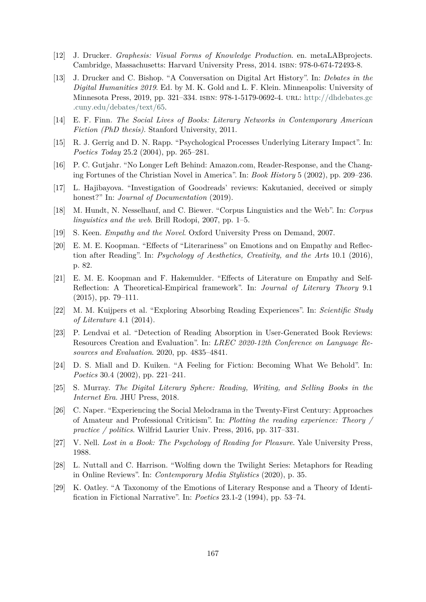- [12] J. Drucker. *Graphesis: Visual Forms of Knowledge Production*. en. metaLABprojects. Cambridge, Massachusetts: Harvard University Press, 2014. isbn: 978-0-674-72493-8.
- [13] J. Drucker and C. Bishop. "A Conversation on Digital Art History". In: *Debates in the Digital Humanities 2019*. Ed. by M. K. Gold and L. F. Klein. Minneapolis: University of Minnesota Press, 2019, pp. 321–334. isbn: 978-1-5179-0692-4. url: http://dhdebates.gc .cuny.edu/debates/text/65.
- [14] E. F. Finn. *The Social Lives of Books: Literary Networks in Contemporary American Fiction (PhD thesis)*. Stanford University, 2011.
- [15] R. J. Gerrig and D. N. Rapp. "Psychological Processes Underlying Literary Impact". In: *Poetics Today* 25.2 (2004), pp. 265–281.
- [16] P. C. Gutjahr. "No Longer Left Behind: Amazon.com, Reader-Response, and the Changing Fortunes of the Christian Novel in America". In: *Book History* 5 (2002), pp. 209–236.
- [17] L. Hajibayova. "Investigation of Goodreads' reviews: Kakutanied, deceived or simply honest?" In: *Journal of Documentation* (2019).
- [18] M. Hundt, N. Nesselhauf, and C. Biewer. "Corpus Linguistics and the Web". In: *Corpus linguistics and the web*. Brill Rodopi, 2007, pp. 1–5.
- [19] S. Keen. *Empathy and the Novel*. Oxford University Press on Demand, 2007.
- [20] E. M. E. Koopman. "Effects of "Literariness" on Emotions and on Empathy and Reflection after Reading". In: *Psychology of Aesthetics, Creativity, and the Arts* 10.1 (2016), p. 82.
- [21] E. M. E. Koopman and F. Hakemulder. "Effects of Literature on Empathy and Self-Reflection: A Theoretical-Empirical framework". In: *Journal of Literary Theory* 9.1  $(2015)$ , pp. 79–111.
- [22] M. M. Kuijpers et al. "Exploring Absorbing Reading Experiences". In: *Scientific Study of Literature* 4.1 (2014).
- [23] P. Lendvai et al. "Detection of Reading Absorption in User-Generated Book Reviews: Resources Creation and Evaluation". In: *LREC 2020-12th Conference on Language Resources and Evaluation*. 2020, pp. 4835–4841.
- [24] D. S. Miall and D. Kuiken. "A Feeling for Fiction: Becoming What We Behold". In: *Poetics* 30.4 (2002), pp. 221–241.
- [25] S. Murray. *The Digital Literary Sphere: Reading, Writing, and Selling Books in the Internet Era*. JHU Press, 2018.
- [26] C. Naper. "Experiencing the Social Melodrama in the Twenty-First Century: Approaches of Amateur and Professional Criticism". In: *Plotting the reading experience: Theory / practice / politics*. Wilfrid Laurier Univ. Press, 2016, pp. 317–331.
- [27] V. Nell. *Lost in a Book: The Psychology of Reading for Pleasure*. Yale University Press, 1988.
- [28] L. Nuttall and C. Harrison. "Wolfing down the Twilight Series: Metaphors for Reading in Online Reviews". In: *Contemporary Media Stylistics* (2020), p. 35.
- [29] K. Oatley. "A Taxonomy of the Emotions of Literary Response and a Theory of Identification in Fictional Narrative". In: *Poetics* 23.1-2 (1994), pp. 53–74.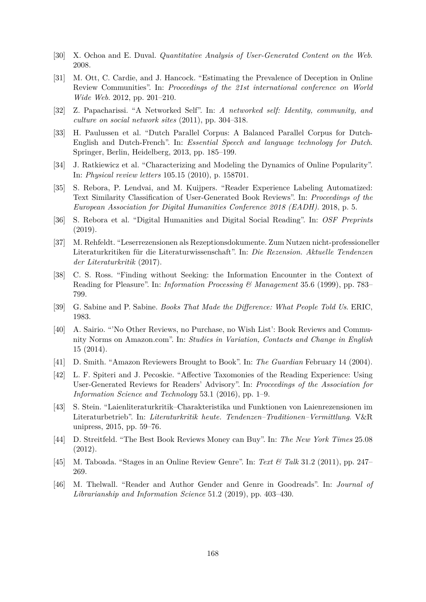- [30] X. Ochoa and E. Duval. *Quantitative Analysis of User-Generated Content on the Web*. 2008.
- [31] M. Ott, C. Cardie, and J. Hancock. "Estimating the Prevalence of Deception in Online Review Communities". In: *Proceedings of the 21st international conference on World Wide Web*. 2012, pp. 201–210.
- [32] Z. Papacharissi. "A Networked Self". In: *A networked self: Identity, community, and culture on social network sites* (2011), pp. 304–318.
- [33] H. Paulussen et al. "Dutch Parallel Corpus: A Balanced Parallel Corpus for Dutch-English and Dutch-French". In: *Essential Speech and language technology for Dutch*. Springer, Berlin, Heidelberg, 2013, pp. 185–199.
- [34] J. Ratkiewicz et al. "Characterizing and Modeling the Dynamics of Online Popularity". In: *Physical review letters* 105.15 (2010), p. 158701.
- [35] S. Rebora, P. Lendvai, and M. Kuijpers. "Reader Experience Labeling Automatized: Text Similarity Classification of User-Generated Book Reviews". In: *Proceedings of the European Association for Digital Humanities Conference 2018 (EADH)*. 2018, p. 5.
- [36] S. Rebora et al. "Digital Humanities and Digital Social Reading". In: *OSF Preprints* (2019).
- [37] M. Rehfeldt. "Leserrezensionen als Rezeptionsdokumente. Zum Nutzen nicht-professioneller Literaturkritiken für die Literaturwissenschaft". In: *Die Rezension. Aktuelle Tendenzen der Literaturkritik* (2017).
- [38] C. S. Ross. "Finding without Seeking: the Information Encounter in the Context of Reading for Pleasure". In: *Information Processing & Management* 35.6 (1999), pp. 783– 799.
- [39] G. Sabine and P. Sabine. *Books That Made the Difference: What People Told Us*. ERIC, 1983.
- [40] A. Sairio. "'No Other Reviews, no Purchase, no Wish List': Book Reviews and Community Norms on Amazon.com". In: *Studies in Variation, Contacts and Change in English* 15 (2014).
- [41] D. Smith. "Amazon Reviewers Brought to Book". In: *The Guardian* February 14 (2004).
- [42] L. F. Spiteri and J. Pecoskie. "Affective Taxomonies of the Reading Experience: Using User-Generated Reviews for Readers' Advisory". In: *Proceedings of the Association for Information Science and Technology* 53.1 (2016), pp. 1–9.
- [43] S. Stein. "Laienliteraturkritik–Charakteristika und Funktionen von Laienrezensionen im Literaturbetrieb". In: *Literaturkritik heute. Tendenzen–Traditionen–Vermittlung*. V&R unipress, 2015, pp. 59–76.
- [44] D. Streitfeld. "The Best Book Reviews Money can Buy". In: *The New York Times* 25.08 (2012).
- [45] M. Taboada. "Stages in an Online Review Genre". In: *Text & Talk* 31.2 (2011), pp. 247– 269.
- [46] M. Thelwall. "Reader and Author Gender and Genre in Goodreads". In: *Journal of Librarianship and Information Science* 51.2 (2019), pp. 403–430.